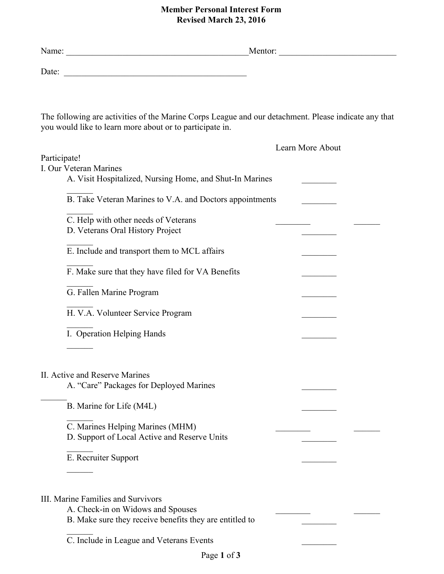## **Member Personal Interest Form Revised March 23, 2016**

| Date: $\qquad \qquad$                                                                                                                                                          |                  |
|--------------------------------------------------------------------------------------------------------------------------------------------------------------------------------|------------------|
| The following are activities of the Marine Corps League and our detachment. Please indicate any that<br>you would like to learn more about or to participate in.               |                  |
|                                                                                                                                                                                | Learn More About |
| Participate!<br>I. Our Veteran Marines<br>A. Visit Hospitalized, Nursing Home, and Shut-In Marines                                                                             |                  |
| B. Take Veteran Marines to V.A. and Doctors appointments                                                                                                                       |                  |
| C. Help with other needs of Veterans<br>D. Veterans Oral History Project                                                                                                       |                  |
| E. Include and transport them to MCL affairs                                                                                                                                   |                  |
| F. Make sure that they have filed for VA Benefits                                                                                                                              |                  |
| G. Fallen Marine Program                                                                                                                                                       |                  |
| H. V.A. Volunteer Service Program                                                                                                                                              |                  |
| I. Operation Helping Hands                                                                                                                                                     |                  |
| II. Active and Reserve Marines                                                                                                                                                 |                  |
| A. "Care" Packages for Deployed Marines                                                                                                                                        |                  |
| B. Marine for Life (M4L)                                                                                                                                                       |                  |
| C. Marines Helping Marines (MHM)<br>D. Support of Local Active and Reserve Units                                                                                               |                  |
| E. Recruiter Support                                                                                                                                                           |                  |
| III. Marine Families and Survivors<br>A. Check-in on Widows and Spouses<br>B. Make sure they receive benefits they are entitled to<br>C. Include in League and Veterans Events |                  |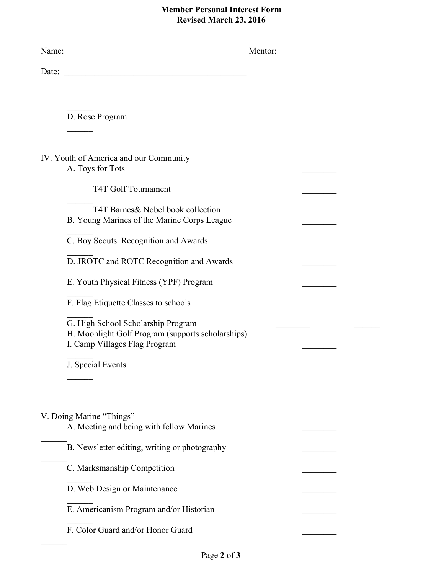## **Member Personal Interest Form Revised March 23, 2016**

|                                                                                                                          | Mentor: |
|--------------------------------------------------------------------------------------------------------------------------|---------|
|                                                                                                                          |         |
|                                                                                                                          |         |
| D. Rose Program                                                                                                          |         |
|                                                                                                                          |         |
| IV. Youth of America and our Community<br>A. Toys for Tots                                                               |         |
| T4T Golf Tournament                                                                                                      |         |
| T4T Barnes & Nobel book collection<br>B. Young Marines of the Marine Corps League                                        |         |
| C. Boy Scouts Recognition and Awards                                                                                     |         |
| D. JROTC and ROTC Recognition and Awards                                                                                 |         |
| E. Youth Physical Fitness (YPF) Program                                                                                  |         |
| F. Flag Etiquette Classes to schools                                                                                     |         |
| G. High School Scholarship Program<br>H. Moonlight Golf Program (supports scholarships)<br>I. Camp Villages Flag Program |         |
| J. Special Events                                                                                                        |         |
|                                                                                                                          |         |
| V. Doing Marine "Things"<br>A. Meeting and being with fellow Marines                                                     |         |
| B. Newsletter editing, writing or photography                                                                            |         |
| C. Marksmanship Competition                                                                                              |         |
| D. Web Design or Maintenance                                                                                             |         |
| E. Americanism Program and/or Historian                                                                                  |         |
| F. Color Guard and/or Honor Guard                                                                                        |         |